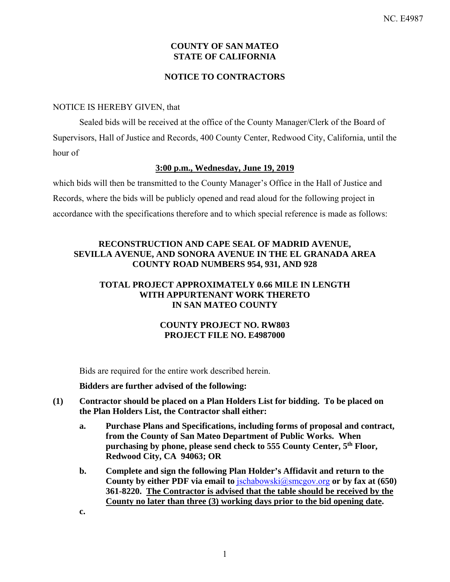# **COUNTY OF SAN MATEO STATE OF CALIFORNIA**

# **NOTICE TO CONTRACTORS**

### NOTICE IS HEREBY GIVEN, that

Sealed bids will be received at the office of the County Manager/Clerk of the Board of Supervisors, Hall of Justice and Records, 400 County Center, Redwood City, California, until the hour of

#### **3:00 p.m., Wednesday, June 19, 2019**

which bids will then be transmitted to the County Manager's Office in the Hall of Justice and Records, where the bids will be publicly opened and read aloud for the following project in accordance with the specifications therefore and to which special reference is made as follows:

# **RECONSTRUCTION AND CAPE SEAL OF MADRID AVENUE, SEVILLA AVENUE, AND SONORA AVENUE IN THE EL GRANADA AREA COUNTY ROAD NUMBERS 954, 931, AND 928**

# **TOTAL PROJECT APPROXIMATELY 0.66 MILE IN LENGTH WITH APPURTENANT WORK THERETO IN SAN MATEO COUNTY**

# **COUNTY PROJECT NO. RW803 PROJECT FILE NO. E4987000**

Bids are required for the entire work described herein.

#### **Bidders are further advised of the following:**

- **(1) Contractor should be placed on a Plan Holders List for bidding. To be placed on the Plan Holders List, the Contractor shall either:** 
	- **a. Purchase Plans and Specifications, including forms of proposal and contract, from the County of San Mateo Department of Public Works. When purchasing by phone, please send check to 555 County Center, 5th Floor, Redwood City, CA 94063; OR**
	- **b. Complete and sign the following Plan Holder's Affidavit and return to the**  County by either PDF via email to  $\frac{ischabowski(Q) \text{smc} g o v \text{ by } f a x \text{ at } (650)}$ **361-8220. The Contractor is advised that the table should be received by the County no later than three (3) working days prior to the bid opening date.**

**c.**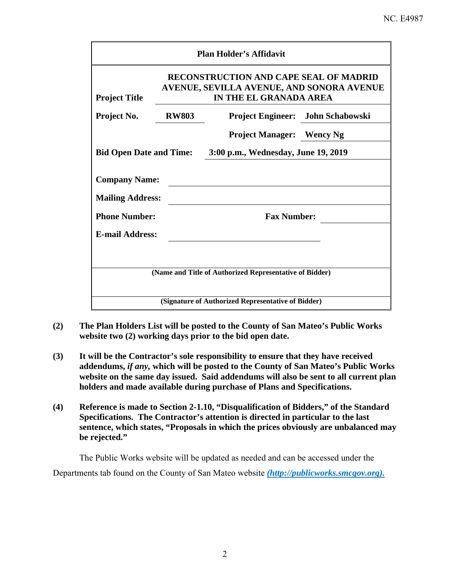# NC. E4987

| <b>Plan Holder's Affidavit</b>                                                                                       |              |                                  |                                          |  |  |  |  |
|----------------------------------------------------------------------------------------------------------------------|--------------|----------------------------------|------------------------------------------|--|--|--|--|
| <b>RECONSTRUCTION AND CAPE SEAL OF MADRID</b><br>AVENUE, SEVILLA AVENUE, AND SONORA AVENUE<br>IN THE EL GRANADA AREA |              |                                  |                                          |  |  |  |  |
| <b>Project Title</b><br>Project No.                                                                                  | <b>RW803</b> |                                  | <b>Project Engineer:</b> John Schabowski |  |  |  |  |
|                                                                                                                      |              | <b>Project Manager:</b> Wency Ng |                                          |  |  |  |  |
| <b>Bid Open Date and Time:</b><br>3:00 p.m., Wednesday, June 19, 2019                                                |              |                                  |                                          |  |  |  |  |
| <b>Company Name:</b><br><b>Mailing Address:</b>                                                                      |              |                                  |                                          |  |  |  |  |
| <b>Phone Number:</b>                                                                                                 |              | <b>Fax Number:</b>               |                                          |  |  |  |  |
| <b>E-mail Address:</b>                                                                                               |              |                                  |                                          |  |  |  |  |
|                                                                                                                      |              |                                  |                                          |  |  |  |  |
| (Name and Title of Authorized Representative of Bidder)                                                              |              |                                  |                                          |  |  |  |  |
| (Signature of Authorized Representative of Bidder)                                                                   |              |                                  |                                          |  |  |  |  |

- **(2) The Plan Holders List will be posted to the County of San Mateo's Public Works website two (2) working days prior to the bid open date.**
- **(3) It will be the Contractor's sole responsibility to ensure that they have received addendums,** *if any,* **which will be posted to the County of San Mateo's Public Works website on the same day issued. Said addendums will also be sent to all current plan holders and made available during purchase of Plans and Specifications.**
- **(4) Reference is made to Section 2-1.10, "Disqualification of Bidders," of the Standard Specifications. The Contractor's attention is directed in particular to the last sentence, which states, "Proposals in which the prices obviously are unbalanced may be rejected."**

The Public Works website will be updated as needed and can be accessed under the Departments tab found on the County of San Mateo website *(http://publicworks.smcgov.org).*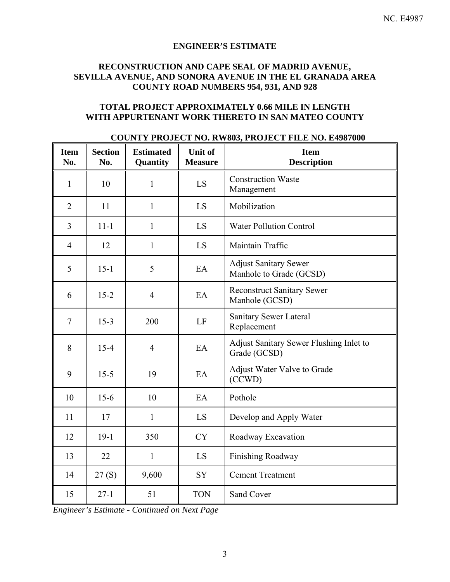### **ENGINEER'S ESTIMATE**

# **RECONSTRUCTION AND CAPE SEAL OF MADRID AVENUE, SEVILLA AVENUE, AND SONORA AVENUE IN THE EL GRANADA AREA COUNTY ROAD NUMBERS 954, 931, AND 928**

# **TOTAL PROJECT APPROXIMATELY 0.66 MILE IN LENGTH WITH APPURTENANT WORK THERETO IN SAN MATEO COUNTY**

| <b>Item</b><br>No. | <b>Section</b><br>No. | <b>Estimated</b><br>Quantity | <b>Unit of</b><br><b>Measure</b> | <b>Item</b><br><b>Description</b>                       |
|--------------------|-----------------------|------------------------------|----------------------------------|---------------------------------------------------------|
| $\mathbf{1}$       | 10                    | $\mathbf{1}$                 | LS                               | <b>Construction Waste</b><br>Management                 |
| $\overline{2}$     | 11                    | 1                            | LS                               | Mobilization                                            |
| $\overline{3}$     | $11 - 1$              | $\mathbf{1}$                 | LS                               | <b>Water Pollution Control</b>                          |
| $\overline{4}$     | 12                    | $\mathbf{1}$                 | LS                               | Maintain Traffic                                        |
| 5                  | $15 - 1$              | 5                            | EA                               | <b>Adjust Sanitary Sewer</b><br>Manhole to Grade (GCSD) |
| 6                  | $15 - 2$              | $\overline{4}$               | EA                               | <b>Reconstruct Sanitary Sewer</b><br>Manhole (GCSD)     |
| $\tau$             | $15-3$                | 200                          | LF                               | Sanitary Sewer Lateral<br>Replacement                   |
| 8                  | $15 - 4$              | $\overline{4}$               | EA                               | Adjust Sanitary Sewer Flushing Inlet to<br>Grade (GCSD) |
| 9                  | $15 - 5$              | 19                           | EA                               | Adjust Water Valve to Grade<br>(CCWD)                   |
| 10                 | $15-6$                | 10                           | EA                               | Pothole                                                 |
| 11                 | 17                    | $\mathbf{1}$                 | LS                               | Develop and Apply Water                                 |
| 12                 | $19-1$                | 350                          | <b>CY</b>                        | Roadway Excavation                                      |
| 13                 | 22                    | $\mathbf{1}$                 | LS                               | Finishing Roadway                                       |
| 14                 | 27(S)                 | 9,600                        | SY                               | <b>Cement Treatment</b>                                 |
| 15                 | $27-1$                | 51                           | <b>TON</b>                       | Sand Cover                                              |

### **COUNTY PROJECT NO. RW803, PROJECT FILE NO. E4987000**

*Engineer's Estimate - Continued on Next Page*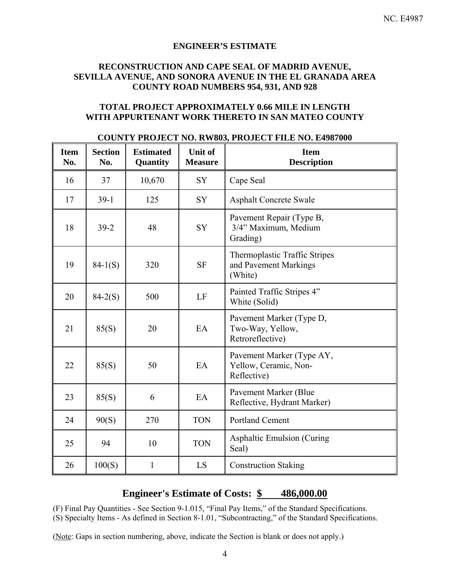#### **ENGINEER'S ESTIMATE**

# **RECONSTRUCTION AND CAPE SEAL OF MADRID AVENUE, SEVILLA AVENUE, AND SONORA AVENUE IN THE EL GRANADA AREA COUNTY ROAD NUMBERS 954, 931, AND 928**

# **TOTAL PROJECT APPROXIMATELY 0.66 MILE IN LENGTH WITH APPURTENANT WORK THERETO IN SAN MATEO COUNTY**

| <b>Item</b><br>No. | <b>Section</b><br>No. | <b>Estimated</b><br>Quantity | <b>Unit of</b><br><b>Measure</b> | <b>Item</b><br><b>Description</b>                                        |
|--------------------|-----------------------|------------------------------|----------------------------------|--------------------------------------------------------------------------|
| 16                 | 37                    | 10,670                       | SY                               | Cape Seal                                                                |
| 17                 | $39-1$                | 125                          | <b>SY</b>                        | <b>Asphalt Concrete Swale</b>                                            |
| 18                 | $39 - 2$              | 48                           | <b>SY</b>                        | Pavement Repair (Type B,<br>3/4" Maximum, Medium<br>Grading)             |
| 19                 | $84-1(S)$             | 320                          | <b>SF</b>                        | <b>Thermoplastic Traffic Stripes</b><br>and Pavement Markings<br>(White) |
| 20                 | $84-2(S)$             | 500                          | LF                               | Painted Traffic Stripes 4"<br>White (Solid)                              |
| 21                 | 85(S)                 | 20                           | EA                               | Pavement Marker (Type D,<br>Two-Way, Yellow,<br>Retroreflective)         |
| 22                 | 85(S)                 | 50                           | EA                               | Pavement Marker (Type AY,<br>Yellow, Ceramic, Non-<br>Reflective)        |
| 23                 | 85(S)                 | 6                            | EA                               | Pavement Marker (Blue<br>Reflective, Hydrant Marker)                     |
| 24                 | 90(S)                 | 270                          | <b>TON</b>                       | <b>Portland Cement</b>                                                   |
| 25                 | 94                    | 10                           | <b>TON</b>                       | <b>Asphaltic Emulsion (Curing)</b><br>Seal)                              |
| 26                 | 100(S)                | $\mathbf{1}$                 | LS                               | <b>Construction Staking</b>                                              |

#### **COUNTY PROJECT NO. RW803, PROJECT FILE NO. E4987000**

# **Engineer's Estimate of Costs: \$ 486,000.00**

(F) Final Pay Quantities - See Section 9-1.015, "Final Pay Items," of the Standard Specifications.

(S) Specialty Items - As defined in Section 8-1.01, "Subcontracting," of the Standard Specifications.

(Note: Gaps in section numbering, above, indicate the Section is blank or does not apply.)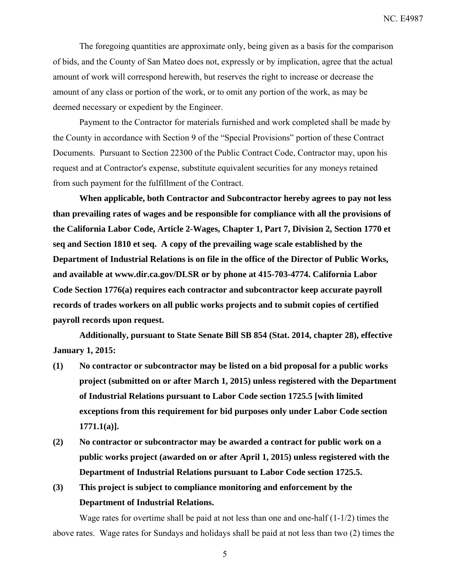The foregoing quantities are approximate only, being given as a basis for the comparison of bids, and the County of San Mateo does not, expressly or by implication, agree that the actual amount of work will correspond herewith, but reserves the right to increase or decrease the amount of any class or portion of the work, or to omit any portion of the work, as may be deemed necessary or expedient by the Engineer.

Payment to the Contractor for materials furnished and work completed shall be made by the County in accordance with Section 9 of the "Special Provisions" portion of these Contract Documents. Pursuant to Section 22300 of the Public Contract Code, Contractor may, upon his request and at Contractor's expense, substitute equivalent securities for any moneys retained from such payment for the fulfillment of the Contract.

**When applicable, both Contractor and Subcontractor hereby agrees to pay not less than prevailing rates of wages and be responsible for compliance with all the provisions of the California Labor Code, Article 2-Wages, Chapter 1, Part 7, Division 2, Section 1770 et seq and Section 1810 et seq. A copy of the prevailing wage scale established by the Department of Industrial Relations is on file in the office of the Director of Public Works, and available at www.dir.ca.gov/DLSR or by phone at 415-703-4774. California Labor Code Section 1776(a) requires each contractor and subcontractor keep accurate payroll records of trades workers on all public works projects and to submit copies of certified payroll records upon request.** 

**Additionally, pursuant to State Senate Bill SB 854 (Stat. 2014, chapter 28), effective January 1, 2015:** 

- **(1) No contractor or subcontractor may be listed on a bid proposal for a public works project (submitted on or after March 1, 2015) unless registered with the Department of Industrial Relations pursuant to Labor Code section 1725.5 [with limited exceptions from this requirement for bid purposes only under Labor Code section 1771.1(a)].**
- **(2) No contractor or subcontractor may be awarded a contract for public work on a public works project (awarded on or after April 1, 2015) unless registered with the Department of Industrial Relations pursuant to Labor Code section 1725.5.**
- **(3) This project is subject to compliance monitoring and enforcement by the Department of Industrial Relations.**

Wage rates for overtime shall be paid at not less than one and one-half  $(1-1/2)$  times the above rates. Wage rates for Sundays and holidays shall be paid at not less than two (2) times the

5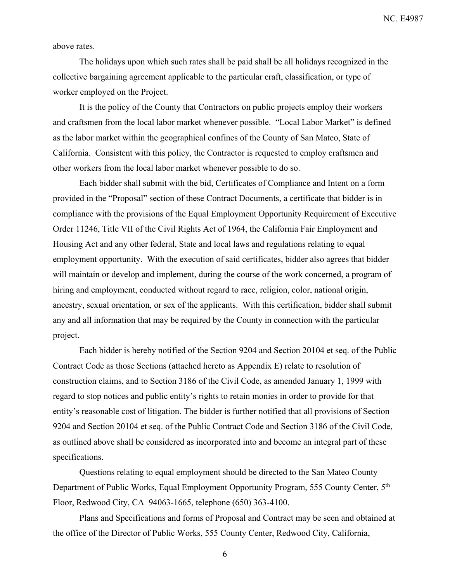above rates.

The holidays upon which such rates shall be paid shall be all holidays recognized in the collective bargaining agreement applicable to the particular craft, classification, or type of worker employed on the Project.

It is the policy of the County that Contractors on public projects employ their workers and craftsmen from the local labor market whenever possible. "Local Labor Market" is defined as the labor market within the geographical confines of the County of San Mateo, State of California. Consistent with this policy, the Contractor is requested to employ craftsmen and other workers from the local labor market whenever possible to do so.

Each bidder shall submit with the bid, Certificates of Compliance and Intent on a form provided in the "Proposal" section of these Contract Documents, a certificate that bidder is in compliance with the provisions of the Equal Employment Opportunity Requirement of Executive Order 11246, Title VII of the Civil Rights Act of 1964, the California Fair Employment and Housing Act and any other federal, State and local laws and regulations relating to equal employment opportunity. With the execution of said certificates, bidder also agrees that bidder will maintain or develop and implement, during the course of the work concerned, a program of hiring and employment, conducted without regard to race, religion, color, national origin, ancestry, sexual orientation, or sex of the applicants. With this certification, bidder shall submit any and all information that may be required by the County in connection with the particular project.

Each bidder is hereby notified of the Section 9204 and Section 20104 et seq. of the Public Contract Code as those Sections (attached hereto as Appendix E) relate to resolution of construction claims, and to Section 3186 of the Civil Code, as amended January 1, 1999 with regard to stop notices and public entity's rights to retain monies in order to provide for that entity's reasonable cost of litigation. The bidder is further notified that all provisions of Section 9204 and Section 20104 et seq. of the Public Contract Code and Section 3186 of the Civil Code, as outlined above shall be considered as incorporated into and become an integral part of these specifications.

Questions relating to equal employment should be directed to the San Mateo County Department of Public Works, Equal Employment Opportunity Program, 555 County Center, 5th Floor, Redwood City, CA 94063-1665, telephone (650) 363-4100.

Plans and Specifications and forms of Proposal and Contract may be seen and obtained at the office of the Director of Public Works, 555 County Center, Redwood City, California,

6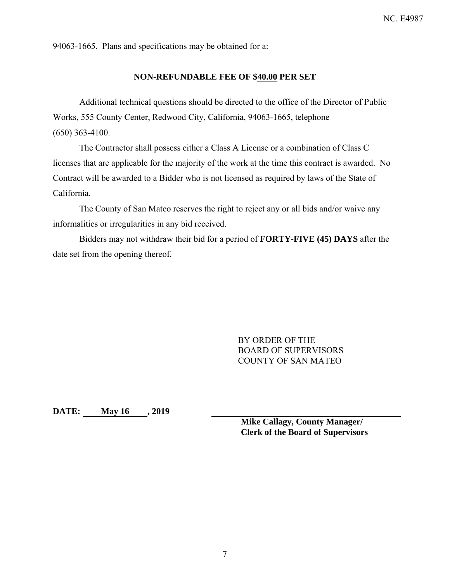94063-1665. Plans and specifications may be obtained for a:

### **NON-REFUNDABLE FEE OF \$40.00 PER SET**

Additional technical questions should be directed to the office of the Director of Public Works, 555 County Center, Redwood City, California, 94063-1665, telephone (650) 363-4100.

The Contractor shall possess either a Class A License or a combination of Class C licenses that are applicable for the majority of the work at the time this contract is awarded. No Contract will be awarded to a Bidder who is not licensed as required by laws of the State of California.

The County of San Mateo reserves the right to reject any or all bids and/or waive any informalities or irregularities in any bid received.

Bidders may not withdraw their bid for a period of **FORTY-FIVE (45) DAYS** after the date set from the opening thereof.

> BY ORDER OF THE BOARD OF SUPERVISORS COUNTY OF SAN MATEO

**DATE: May 16 , 2019** 

**Mike Callagy, County Manager/ Clerk of the Board of Supervisors**